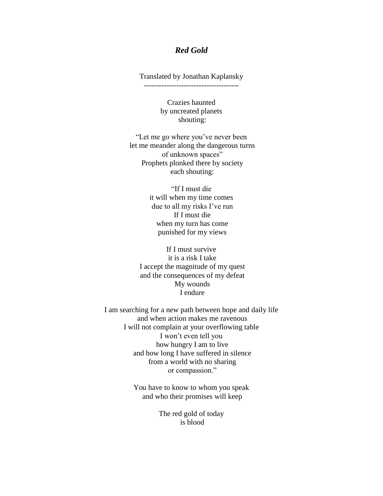## *Red Gold*

Translated by Jonathan Kaplansky

Crazies haunted by uncreated planets shouting:

"Let me go where you've never been let me meander along the dangerous turns of unknown spaces" Prophets plonked there by society each shouting:

> "If I must die it will when my time comes due to all my risks I've run If I must die when my turn has come punished for my views

If I must survive it is a risk I take I accept the magnitude of my quest and the consequences of my defeat My wounds I endure

I am searching for a new path between hope and daily life and when action makes me ravenous I will not complain at your overflowing table I won't even tell you how hungry I am to live and how long I have suffered in silence from a world with no sharing or compassion."

> You have to know to whom you speak and who their promises will keep

> > The red gold of today is blood